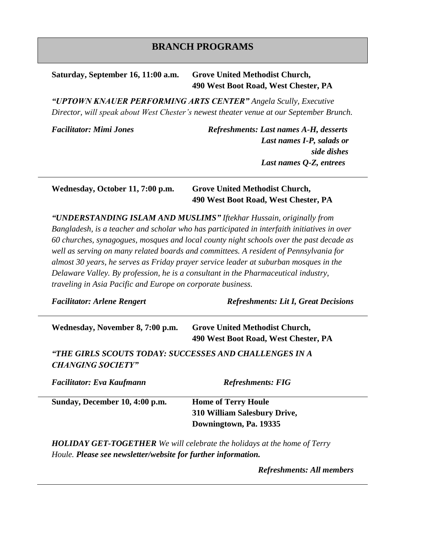## **BRANCH PROGRAMS**

## **Saturday, September 16, 11:00 a.m. Grove United Methodist Church, 490 West Boot Road, West Chester, PA**

*"UPTOWN KNAUER PERFORMING ARTS CENTER" Angela Scully, Executive Director, will speak about West Chester's newest theater venue at our September Brunch.*

*Facilitator: Mimi Jones Refreshments: Last names A-H, desserts Last names I-P, salads or side dishes Last names Q-Z, entrees*

**Wednesday, October 11, 7:00 p.m. Grove United Methodist Church, 490 West Boot Road, West Chester, PA**

*"UNDERSTANDING ISLAM AND MUSLIMS" Iftekhar Hussain, originally from Bangladesh, is a teacher and scholar who has participated in interfaith initiatives in over 60 churches, synagogues, mosques and local county night schools over the past decade as well as serving on many related boards and committees. A resident of Pennsylvania for almost 30 years, he serves as Friday prayer service leader at suburban mosques in the Delaware Valley. By profession, he is a consultant in the Pharmaceutical industry, traveling in Asia Pacific and Europe on corporate business.*

*Facilitator: Arlene Rengert Refreshments: Lit I, Great Decisions*

| Wednesday, November 8, 7:00 p.m. | <b>Grove United Methodist Church,</b> |
|----------------------------------|---------------------------------------|
|                                  | 490 West Boot Road, West Chester, PA  |

*"THE GIRLS SCOUTS TODAY: SUCCESSES AND CHALLENGES IN A CHANGING SOCIETY"*

| <b>Facilitator: Eva Kaufmann</b> | <b>Refreshments: FIG</b>            |  |
|----------------------------------|-------------------------------------|--|
| Sunday, December 10, 4:00 p.m.   | <b>Home of Terry Houle</b>          |  |
|                                  | <b>310 William Salesbury Drive,</b> |  |
|                                  | Downingtown, Pa. 19335              |  |

*HOLIDAY GET-TOGETHER We will celebrate the holidays at the home of Terry Houle. Please see newsletter/website for further information.*

*Refreshments: All members*